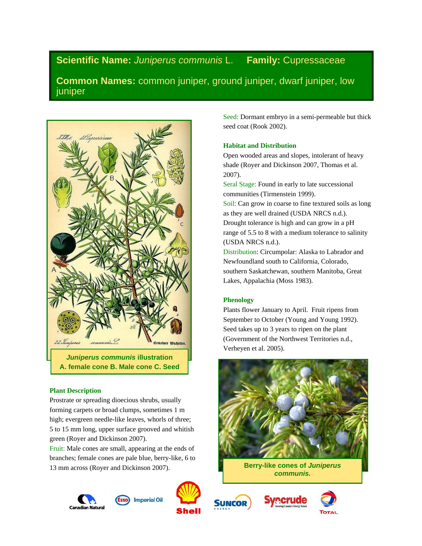# **Scientific Name:** *Juniperus communis* L. **Family:** Cupressaceae

**Common Names:** common juniper, ground juniper, dwarf juniper, low juniper



## **Plant Description**

Prostrate or spreading dioecious shrubs, usually forming carpets or broad clumps, sometimes 1 m high; evergreen needle-like leaves, whorls of three; 5 to 15 mm long, upper surface grooved and whitish green (Royer and Dickinson 2007).

Fruit: Male cones are small, appearing at the ends of branches; female cones are pale blue, berry-like, 6 to 13 mm across (Royer and Dickinson 2007).







Seed: Dormant embryo in a semi-permeable but thick seed coat (Rook 2002).

### **Habitat and Distribution**

Open wooded areas and slopes, intolerant of heavy shade (Royer and Dickinson 2007, Thomas et al. 2007).

Seral Stage: Found in early to late successional communities (Tirmenstein 1999).

Soil: Can grow in coarse to fine textured soils as long as they are well drained (USDA NRCS n.d.). Drought tolerance is high and can grow in a pH range of 5.5 to 8 with a medium tolerance to salinity (USDA NRCS n.d.).

Distribution: Circumpolar: Alaska to Labrador and Newfoundland south to California, Colorado, southern Saskatchewan, southern Manitoba, Great Lakes, Appalachia (Moss 1983).

## **Phenology**

Plants flower January to April. Fruit ripens from September to October (Young and Young 1992). Seed takes up to 3 years to ripen on the plant (Government of the Northwest Territories n.d., Verheyen et al. 2005).



**Berry-like cones of** *Juniperus communis.*





**SUNCOR**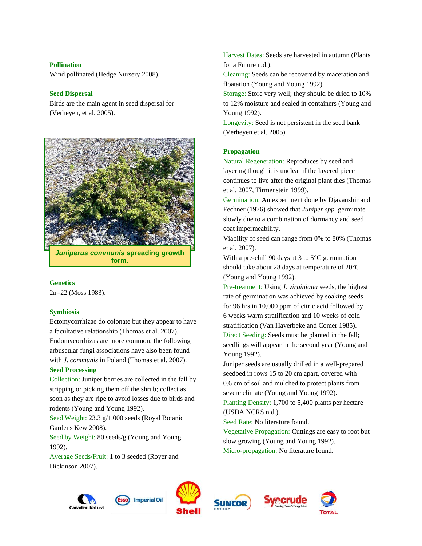#### **Pollination**

Wind pollinated (Hedge Nursery 2008).

## **Seed Dispersal**

Birds are the main agent in seed dispersal for (Verheyen, et al. 2005).



*Juniperus communis* **spreading growth form.**

#### **Genetics**

2n=22 (Moss 1983).

## **Symbiosis**

Ectomycorrhizae do colonate but they appear to have a facultative relationship (Thomas et al. 2007). Endomycorrhizas are more common; the following arbuscular fungi associations have also been found with *J. communis* in Poland (Thomas et al. 2007).

#### **Seed Processing**

Collection: Juniper berries are collected in the fall by stripping or picking them off the shrub; collect as soon as they are ripe to avoid losses due to birds and rodents (Young and Young 1992).

Seed Weight: 23.3 g/1,000 seeds (Royal Botanic Gardens Kew 2008).

Seed by Weight: 80 seeds/g (Young and Young 1992).

Average Seeds/Fruit: 1 to 3 seeded (Royer and Dickinson 2007).

Harvest Dates: Seeds are harvested in autumn (Plants for a Future n.d.).

Cleaning: Seeds can be recovered by maceration and floatation (Young and Young 1992).

Storage: Store very well; they should be dried to 10% to 12% moisture and sealed in containers (Young and Young 1992).

Longevity: Seed is not persistent in the seed bank (Verheyen et al. 2005).

### **Propagation**

Natural Regeneration: Reproduces by seed and layering though it is unclear if the layered piece continues to live after the original plant dies (Thomas et al. 2007, Tirmenstein 1999).

Germination: An experiment done by Djavanshir and Fechner (1976) showed that *Juniper spp.* germinate slowly due to a combination of dormancy and seed coat impermeability.

Viability of seed can range from 0% to 80% (Thomas et al. 2007).

With a pre-chill 90 days at 3 to 5°C germination should take about 28 days at temperature of 20°C (Young and Young 1992).

Pre-treatment: Using *J. virginiana* seeds, the highest rate of germination was achieved by soaking seeds for 96 hrs in 10,000 ppm of citric acid followed by 6 weeks warm stratification and 10 weeks of cold stratification (Van Haverbeke and Comer 1985). Direct Seeding: Seeds must be planted in the fall; seedlings will appear in the second year (Young and Young 1992).

Juniper seeds are usually drilled in a well-prepared seedbed in rows 15 to 20 cm apart, covered with 0.6 cm of soil and mulched to protect plants from severe climate (Young and Young 1992).

Planting Density: 1,700 to 5,400 plants per hectare (USDA NCRS n.d.).

Seed Rate: No literature found.

Vegetative Propagation: Cuttings are easy to root but slow growing (Young and Young 1992). Micro-propagation: No literature found.









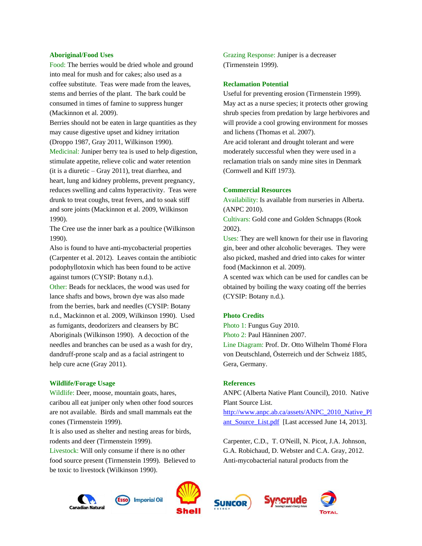#### **Aboriginal/Food Uses**

Food: The berries would be dried whole and ground into meal for mush and for cakes; also used as a coffee substitute. Teas were made from the leaves, stems and berries of the plant. The bark could be consumed in times of famine to suppress hunger (Mackinnon et al. 2009).

Berries should not be eaten in large quantities as they may cause digestive upset and kidney irritation (Droppo 1987, Gray 2011, Wilkinson 1990). Medicinal: Juniper berry tea is used to help digestion, stimulate appetite, relieve colic and water retention (it is a diuretic – Gray 2011), treat diarrhea, and heart, lung and kidney problems, prevent pregnancy, reduces swelling and calms hyperactivity. Teas were drunk to treat coughs, treat fevers, and to soak stiff and sore joints (Mackinnon et al. 2009, Wilkinson 1990).

The Cree use the inner bark as a poultice (Wilkinson 1990).

Also is found to have anti-mycobacterial properties (Carpenter et al. 2012). Leaves contain the antibiotic podophyllotoxin which has been found to be active against tumors (CYSIP: Botany n.d.).

Other: Beads for necklaces, the wood was used for lance shafts and bows, brown dye was also made from the berries, bark and needles (CYSIP: Botany n.d., Mackinnon et al. 2009, Wilkinson 1990). Used as fumigants, deodorizers and cleansers by BC Aboriginals (Wilkinson 1990). A decoction of the needles and branches can be used as a wash for dry, dandruff-prone scalp and as a facial astringent to help cure acne (Gray 2011).

#### **Wildlife/Forage Usage**

Wildlife: Deer, moose, mountain goats, hares, caribou all eat juniper only when other food sources are not available. Birds and small mammals eat the cones (Tirmenstein 1999).

It is also used as shelter and nesting areas for birds, rodents and deer (Tirmenstein 1999).

Livestock: Will only consume if there is no other food source present (Tirmenstein 1999). Believed to be toxic to livestock (Wilkinson 1990).

Grazing Response: Juniper is a decreaser (Tirmenstein 1999).

#### **Reclamation Potential**

Useful for preventing erosion (Tirmenstein 1999). May act as a nurse species; it protects other growing shrub species from predation by large herbivores and will provide a cool growing environment for mosses and lichens (Thomas et al. 2007).

Are acid tolerant and drought tolerant and were moderately successful when they were used in a reclamation trials on sandy mine sites in Denmark (Cornwell and Kiff 1973).

#### **Commercial Resources**

Availability: Is available from nurseries in Alberta. (ANPC 2010).

Cultivars: Gold cone and Golden Schnapps (Rook 2002).

Uses: They are well known for their use in flavoring gin, beer and other alcoholic beverages. They were also picked, mashed and dried into cakes for winter food (Mackinnon et al. 2009).

A scented wax which can be used for candles can be obtained by boiling the waxy coating off the berries (CYSIP: Botany n.d.).

#### **Photo Credits**

Photo 1: Fungus Guy 2010.

Photo 2: Paul Hänninen 2007.

Line Diagram: Prof. Dr. Otto Wilhelm Thomé Flora von Deutschland, Österreich und der Schweiz 1885, Gera, Germany.

#### **References**

ANPC (Alberta Native Plant Council), 2010. Native Plant Source List.

[http://www.anpc.ab.ca/assets/ANPC\\_2010\\_Native\\_Pl](http://www.anpc.ab.ca/assets/ANPC_2010_Native_Plant_Source_List.pdf) ant Source List.pdf [Last accessed June 14, 2013].

Carpenter, C.D., T. O'Neill, N. Picot, J.A. Johnson, G.A. Robichaud, D. Webster and C.A. Gray, 2012. Anti-mycobacterial natural products from the









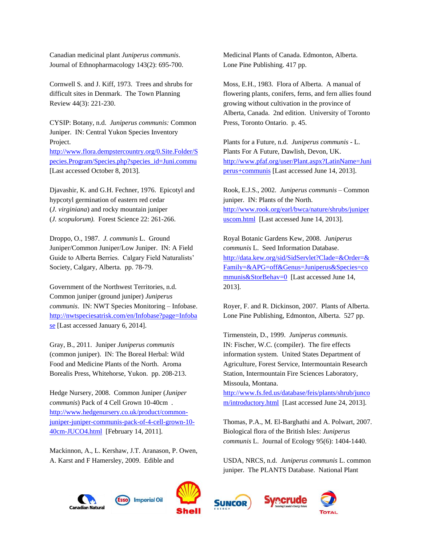Canadian medicinal plant *Juniperus communis*. Journal of Ethnopharmacology 143(2): 695-700.

Cornwell S. and J. Kiff, 1973. Trees and shrubs for difficult sites in Denmark. The Town Planning Review 44(3): 221-230.

CYSIP: Botany, n.d. *Juniperus communis:* Common Juniper. IN: Central Yukon Species Inventory Project.

[http://www.flora.dempstercountry.org/0.Site.Folder/S](http://www.flora.dempstercountry.org/0.Site.Folder/Species.Program/Species.php?species_id=Juni.commu) [pecies.Program/Species.php?species\\_id=Juni.commu](http://www.flora.dempstercountry.org/0.Site.Folder/Species.Program/Species.php?species_id=Juni.commu)  [Last accessed October 8, 2013].

Djavashir, K. and G.H. Fechner, 1976. Epicotyl and hypcotyl germination of eastern red cedar (*J. virginiana*) and rocky mountain juniper (*J. scopulorum).* Forest Science 22: 261-266.

Droppo, O., 1987. *J. communis* L. Ground Juniper/Common Juniper/Low Juniper. IN: A Field Guide to Alberta Berries. Calgary Field Naturalists' Society, Calgary, Alberta. pp. 78-79.

Government of the Northwest Territories, n.d. Common juniper (ground juniper) *Juniperus communis*. IN: NWT Species Monitoring – Infobase. [http://nwtspeciesatrisk.com/en/Infobase?page=Infoba](http://nwtspeciesatrisk.com/en/Infobase?page=Infobase) [se](http://nwtspeciesatrisk.com/en/Infobase?page=Infobase) [Last accessed January 6, 2014].

Gray, B., 2011. Juniper *Juniperus communis* (common juniper). IN: The Boreal Herbal: Wild Food and Medicine Plants of the North. Aroma Borealis Press, Whitehorse, Yukon. pp. 208-213.

Hedge Nursery, 2008. Common Juniper (*Juniper communis*) Pack of 4 Cell Grown 10-40cm . [http://www.hedgenursery.co.uk/product/common](http://www.hedgenursery.co.uk/product/common-juniper-juniper-communis-pack-of-4-cell-grown-10-40cm-JUCO4.html)[juniper-juniper-communis-pack-of-4-cell-grown-10-](http://www.hedgenursery.co.uk/product/common-juniper-juniper-communis-pack-of-4-cell-grown-10-40cm-JUCO4.html) [40cm-JUCO4.html](http://www.hedgenursery.co.uk/product/common-juniper-juniper-communis-pack-of-4-cell-grown-10-40cm-JUCO4.html) [February 14, 2011].

Mackinnon, A., L. Kershaw, J.T. Aranason, P. Owen, A. Karst and F Hamersley, 2009. Edible and

Medicinal Plants of Canada. Edmonton, Alberta. Lone Pine Publishing. 417 pp.

Moss, E.H., 1983. Flora of Alberta. A manual of flowering plants, conifers, ferns, and fern allies found growing without cultivation in the province of Alberta, Canada. 2nd edition. University of Toronto Press, Toronto Ontario. p. 45.

Plants for a Future, n.d. *Juniperus communis* - L. Plants For A Future, Dawlish, Devon, UK. [http://www.pfaf.org/user/Plant.aspx?LatinName=Juni](http://www.pfaf.org/user/Plant.aspx?LatinName=Juniperus+communis) [perus+communis](http://www.pfaf.org/user/Plant.aspx?LatinName=Juniperus+communis) [Last accessed June 14, 2013].

Rook, E.J.S., 2002. *Juniperus communis* – Common juniper. IN: Plants of the North. [http://www.rook.org/earl/bwca/nature/shrubs/juniper](http://www.rook.org/earl/bwca/nature/shrubs/juniperuscom.html) [uscom.html](http://www.rook.org/earl/bwca/nature/shrubs/juniperuscom.html) [Last accessed June 14, 2013].

Royal Botanic Gardens Kew, 2008. *Juniperus communis* L. Seed Information Database. [http://data.kew.org/sid/SidServlet?Clade=&Order=&](http://data.kew.org/sid/SidServlet?Clade=&Order=&Family=&APG=off&Genus=Juniperus&Species=communis&StorBehav=0) [Family=&APG=off&Genus=Juniperus&Species=co](http://data.kew.org/sid/SidServlet?Clade=&Order=&Family=&APG=off&Genus=Juniperus&Species=communis&StorBehav=0) [mmunis&StorBehav=0](http://data.kew.org/sid/SidServlet?Clade=&Order=&Family=&APG=off&Genus=Juniperus&Species=communis&StorBehav=0) [Last accessed June 14, 2013].

Royer, F. and R. Dickinson, 2007. Plants of Alberta. Lone Pine Publishing, Edmonton, Alberta. 527 pp.

Tirmenstein, D., 1999. *Juniperus communis*. IN: Fischer, W.C. (compiler). The fire effects information system. United States Department of Agriculture, Forest Service, Intermountain Research Station, Intermountain Fire Sciences Laboratory, Missoula, Montana.

[http://www.fs.fed.us/database/feis/plants/shrub/junco](http://www.fs.fed.us/database/feis/plants/shrub/juncom/introductory.html) [m/introductory.html](http://www.fs.fed.us/database/feis/plants/shrub/juncom/introductory.html) [Last accessed June 24, 2013].

Thomas, P.A., M. El-Barghathi and A. Polwart, 2007. Biological flora of the British Isles: *Juniperus communis* L. Journal of Ecology 95(6): 1404-1440.

USDA, NRCS, n.d. *Juniperus communis* L. common juniper. The PLANTS Database. National Plant